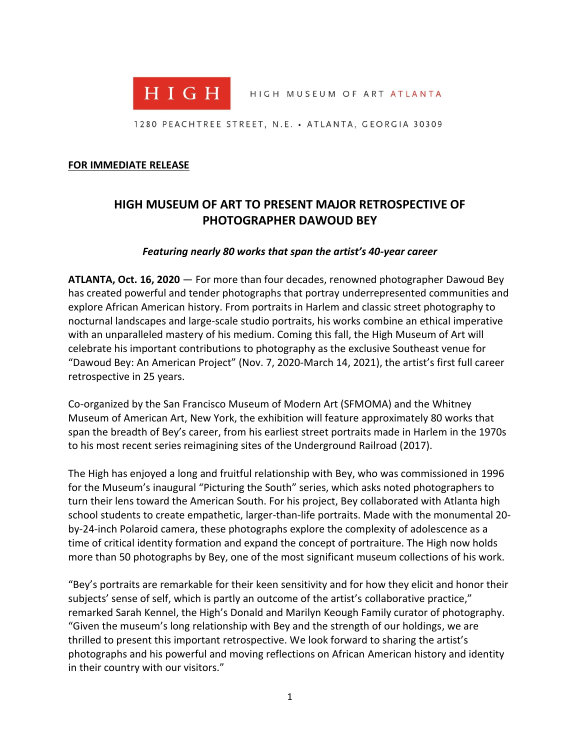

HIGH MUSEUM OF ART ATLANTA

1280 PEACHTREE STREET, N.E. • ATLANTA, GEORGIA 30309

#### **FOR IMMEDIATE RELEASE**

# **HIGH MUSEUM OF ART TO PRESENT MAJOR RETROSPECTIVE OF PHOTOGRAPHER DAWOUD BEY**

#### *Featuring nearly 80 works that span the artist's 40-year career*

**ATLANTA, Oct. 16, 2020** — For more than four decades, renowned photographer Dawoud Bey has created powerful and tender photographs that portray underrepresented communities and explore African American history. From portraits in Harlem and classic street photography to nocturnal landscapes and large-scale studio portraits, his works combine an ethical imperative with an unparalleled mastery of his medium. Coming this fall, the High Museum of Art will celebrate his important contributions to photography as the exclusive Southeast venue for "Dawoud Bey: An American Project" (Nov. 7, 2020-March 14, 2021), the artist's first full career retrospective in 25 years.

Co-organized by the San Francisco Museum of Modern Art (SFMOMA) and the Whitney Museum of American Art, New York, the exhibition will feature approximately 80 works that span the breadth of Bey's career, from his earliest street portraits made in Harlem in the 1970s to his most recent series reimagining sites of the Underground Railroad (2017).

The High has enjoyed a long and fruitful relationship with Bey, who was commissioned in 1996 for the Museum's inaugural "Picturing the South" series, which asks noted photographers to turn their lens toward the American South. For his project, Bey collaborated with Atlanta high school students to create empathetic, larger-than-life portraits. Made with the monumental 20 by-24-inch Polaroid camera, these photographs explore the complexity of adolescence as a time of critical identity formation and expand the concept of portraiture. The High now holds more than 50 photographs by Bey, one of the most significant museum collections of his work.

"Bey's portraits are remarkable for their keen sensitivity and for how they elicit and honor their subjects' sense of self, which is partly an outcome of the artist's collaborative practice," remarked Sarah Kennel, the High's Donald and Marilyn Keough Family curator of photography. "Given the museum's long relationship with Bey and the strength of our holdings, we are thrilled to present this important retrospective. We look forward to sharing the artist's photographs and his powerful and moving reflections on African American history and identity in their country with our visitors."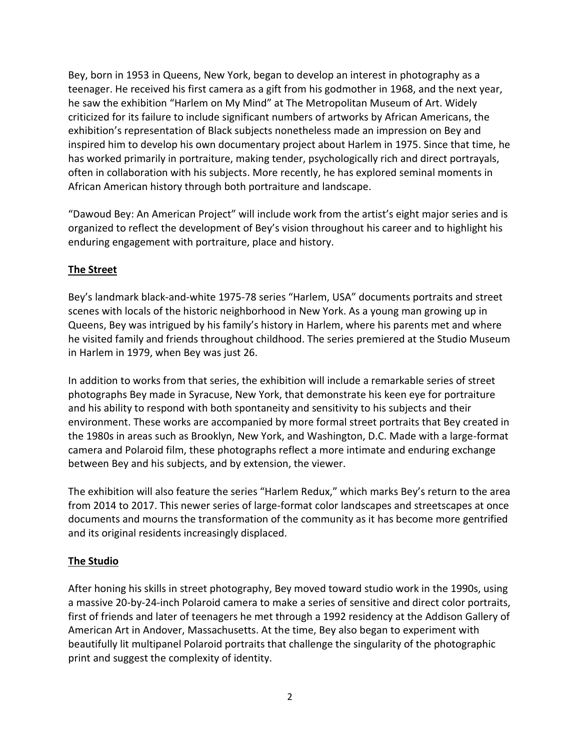Bey, born in 1953 in Queens, New York, began to develop an interest in photography as a teenager. He received his first camera as a gift from his godmother in 1968, and the next year, he saw the exhibition "Harlem on My Mind" at The Metropolitan Museum of Art. Widely criticized for its failure to include significant numbers of artworks by African Americans, the exhibition's representation of Black subjects nonetheless made an impression on Bey and inspired him to develop his own documentary project about Harlem in 1975. Since that time, he has worked primarily in portraiture, making tender, psychologically rich and direct portrayals, often in collaboration with his subjects. More recently, he has explored seminal moments in African American history through both portraiture and landscape.

"Dawoud Bey: An American Project" will include work from the artist's eight major series and is organized to reflect the development of Bey's vision throughout his career and to highlight his enduring engagement with portraiture, place and history.

# **The Street**

Bey's landmark black-and-white 1975-78 series "Harlem, USA" documents portraits and street scenes with locals of the historic neighborhood in New York. As a young man growing up in Queens, Bey was intrigued by his family's history in Harlem, where his parents met and where he visited family and friends throughout childhood. The series premiered at the Studio Museum in Harlem in 1979, when Bey was just 26.

In addition to works from that series, the exhibition will include a remarkable series of street photographs Bey made in Syracuse, New York, that demonstrate his keen eye for portraiture and his ability to respond with both spontaneity and sensitivity to his subjects and their environment. These works are accompanied by more formal street portraits that Bey created in the 1980s in areas such as Brooklyn, New York, and Washington, D.C. Made with a large-format camera and Polaroid film, these photographs reflect a more intimate and enduring exchange between Bey and his subjects, and by extension, the viewer.

The exhibition will also feature the series "Harlem Redux," which marks Bey's return to the area from 2014 to 2017. This newer series of large-format color landscapes and streetscapes at once documents and mourns the transformation of the community as it has become more gentrified and its original residents increasingly displaced.

# **The Studio**

After honing his skills in street photography, Bey moved toward studio work in the 1990s, using a massive 20-by-24-inch Polaroid camera to make a series of sensitive and direct color portraits, first of friends and later of teenagers he met through a 1992 residency at the Addison Gallery of American Art in Andover, Massachusetts. At the time, Bey also began to experiment with beautifully lit multipanel Polaroid portraits that challenge the singularity of the photographic print and suggest the complexity of identity.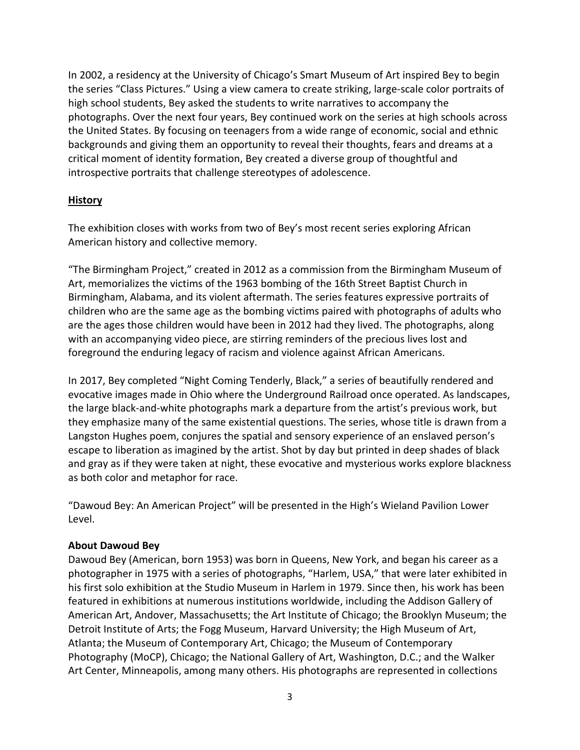In 2002, a residency at the University of Chicago's Smart Museum of Art inspired Bey to begin the series "Class Pictures." Using a view camera to create striking, large-scale color portraits of high school students, Bey asked the students to write narratives to accompany the photographs. Over the next four years, Bey continued work on the series at high schools across the United States. By focusing on teenagers from a wide range of economic, social and ethnic backgrounds and giving them an opportunity to reveal their thoughts, fears and dreams at a critical moment of identity formation, Bey created a diverse group of thoughtful and introspective portraits that challenge stereotypes of adolescence.

### **History**

The exhibition closes with works from two of Bey's most recent series exploring African American history and collective memory.

"The Birmingham Project," created in 2012 as a commission from the Birmingham Museum of Art, memorializes the victims of the 1963 bombing of the 16th Street Baptist Church in Birmingham, Alabama, and its violent aftermath. The series features expressive portraits of children who are the same age as the bombing victims paired with photographs of adults who are the ages those children would have been in 2012 had they lived. The photographs, along with an accompanying video piece, are stirring reminders of the precious lives lost and foreground the enduring legacy of racism and violence against African Americans.

In 2017, Bey completed "Night Coming Tenderly, Black," a series of beautifully rendered and evocative images made in Ohio where the Underground Railroad once operated. As landscapes, the large black-and-white photographs mark a departure from the artist's previous work, but they emphasize many of the same existential questions. The series, whose title is drawn from a Langston Hughes poem, conjures the spatial and sensory experience of an enslaved person's escape to liberation as imagined by the artist. Shot by day but printed in deep shades of black and gray as if they were taken at night, these evocative and mysterious works explore blackness as both color and metaphor for race.

"Dawoud Bey: An American Project" will be presented in the High's Wieland Pavilion Lower Level.

# **About Dawoud Bey**

Dawoud Bey (American, born 1953) was born in Queens, New York, and began his career as a photographer in 1975 with a series of photographs, "Harlem, USA," that were later exhibited in his first solo exhibition at the Studio Museum in Harlem in 1979. Since then, his work has been featured in exhibitions at numerous institutions worldwide, including the Addison Gallery of American Art, Andover, Massachusetts; the Art Institute of Chicago; the Brooklyn Museum; the Detroit Institute of Arts; the Fogg Museum, Harvard University; the High Museum of Art, Atlanta; the Museum of Contemporary Art, Chicago; the Museum of Contemporary Photography (MoCP), Chicago; the National Gallery of Art, Washington, D.C.; and the Walker Art Center, Minneapolis, among many others. His photographs are represented in collections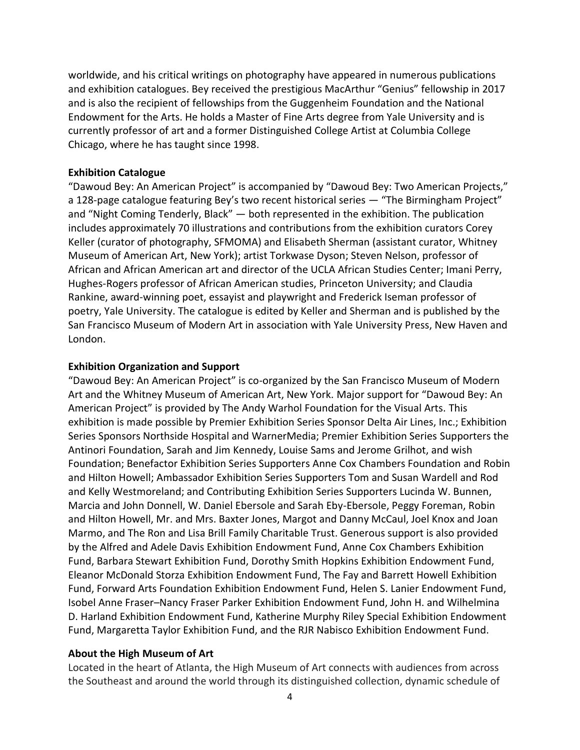worldwide, and his critical writings on photography have appeared in numerous publications and exhibition catalogues. Bey received the prestigious MacArthur "Genius" fellowship in 2017 and is also the recipient of fellowships from the Guggenheim Foundation and the National Endowment for the Arts. He holds a Master of Fine Arts degree from Yale University and is currently professor of art and a former Distinguished College Artist at Columbia College Chicago, where he has taught since 1998.

### **Exhibition Catalogue**

"Dawoud Bey: An American Project" is accompanied by "Dawoud Bey: Two American Projects," a 128-page catalogue featuring Bey's two recent historical series — "The Birmingham Project" and "Night Coming Tenderly, Black" — both represented in the exhibition. The publication includes approximately 70 illustrations and contributions from the exhibition curators Corey Keller (curator of photography, SFMOMA) and Elisabeth Sherman (assistant curator, Whitney Museum of American Art, New York); artist Torkwase Dyson; Steven Nelson, professor of African and African American art and director of the UCLA African Studies Center; Imani Perry, Hughes-Rogers professor of African American studies, Princeton University; and Claudia Rankine, award-winning poet, essayist and playwright and Frederick Iseman professor of poetry, Yale University. The catalogue is edited by Keller and Sherman and is published by the San Francisco Museum of Modern Art in association with Yale University Press, New Haven and London.

### **Exhibition Organization and Support**

"Dawoud Bey: An American Project" is co-organized by the San Francisco Museum of Modern Art and the Whitney Museum of American Art, New York. Major support for "Dawoud Bey: An American Project" is provided by The Andy Warhol Foundation for the Visual Arts. This exhibition is made possible by Premier Exhibition Series Sponsor Delta Air Lines, Inc.; Exhibition Series Sponsors Northside Hospital and WarnerMedia; Premier Exhibition Series Supporters the Antinori Foundation, Sarah and Jim Kennedy, Louise Sams and Jerome Grilhot, and wish Foundation; Benefactor Exhibition Series Supporters Anne Cox Chambers Foundation and Robin and Hilton Howell; Ambassador Exhibition Series Supporters Tom and Susan Wardell and Rod and Kelly Westmoreland; and Contributing Exhibition Series Supporters Lucinda W. Bunnen, Marcia and John Donnell, W. Daniel Ebersole and Sarah Eby-Ebersole, Peggy Foreman, Robin and Hilton Howell, Mr. and Mrs. Baxter Jones, Margot and Danny McCaul, Joel Knox and Joan Marmo, and The Ron and Lisa Brill Family Charitable Trust. Generous support is also provided by the Alfred and Adele Davis Exhibition Endowment Fund, Anne Cox Chambers Exhibition Fund, Barbara Stewart Exhibition Fund, Dorothy Smith Hopkins Exhibition Endowment Fund, Eleanor McDonald Storza Exhibition Endowment Fund, The Fay and Barrett Howell Exhibition Fund, Forward Arts Foundation Exhibition Endowment Fund, Helen S. Lanier Endowment Fund, Isobel Anne Fraser–Nancy Fraser Parker Exhibition Endowment Fund, John H. and Wilhelmina D. Harland Exhibition Endowment Fund, Katherine Murphy Riley Special Exhibition Endowment Fund, Margaretta Taylor Exhibition Fund, and the RJR Nabisco Exhibition Endowment Fund.

### **About the High Museum of Art**

Located in the heart of Atlanta, the High Museum of Art connects with audiences from across the Southeast and around the world through its distinguished collection, dynamic schedule of